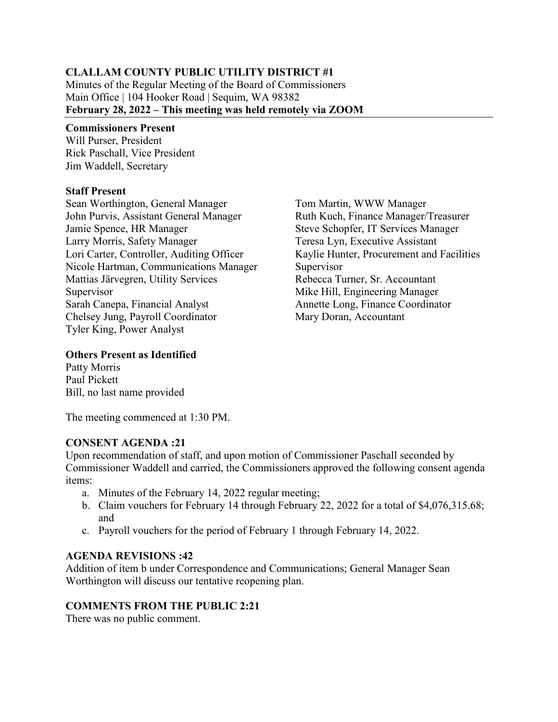### **CLALLAM COUNTY PUBLIC UTILITY DISTRICT #1**

Minutes of the Regular Meeting of the Board of Commissioners Main Office | 104 Hooker Road | Sequim, WA 98382 **February 28, 2022 – This meeting was held remotely via ZOOM** 

#### **Commissioners Present**

Will Purser, President Rick Paschall, Vice President Jim Waddell, Secretary

### **Staff Present**

Sean Worthington, General Manager John Purvis, Assistant General Manager Jamie Spence, HR Manager Larry Morris, Safety Manager Lori Carter, Controller, Auditing Officer Nicole Hartman, Communications Manager Mattias Järvegren, Utility Services Supervisor Sarah Canepa, Financial Analyst Chelsey Jung, Payroll Coordinator Tyler King, Power Analyst

Tom Martin, WWW Manager Ruth Kuch, Finance Manager/Treasurer Steve Schopfer, IT Services Manager Teresa Lyn, Executive Assistant Kaylie Hunter, Procurement and Facilities Supervisor Rebecca Turner, Sr. Accountant Mike Hill, Engineering Manager Annette Long, Finance Coordinator Mary Doran, Accountant

### **Others Present as Identified**

Patty Morris Paul Pickett Bill, no last name provided

The meeting commenced at 1:30 PM.

## **CONSENT AGENDA :21**

Upon recommendation of staff, and upon motion of Commissioner Paschall seconded by Commissioner Waddell and carried, the Commissioners approved the following consent agenda items:

- a. Minutes of the February 14, 2022 regular meeting;
- b. Claim vouchers for February 14 through February 22, 2022 for a total of \$4,076,315.68; and
- c. Payroll vouchers for the period of February 1 through February 14, 2022.

## **AGENDA REVISIONS :42**

Addition of item b under Correspondence and Communications; General Manager Sean Worthington will discuss our tentative reopening plan.

## **COMMENTS FROM THE PUBLIC 2:21**

There was no public comment.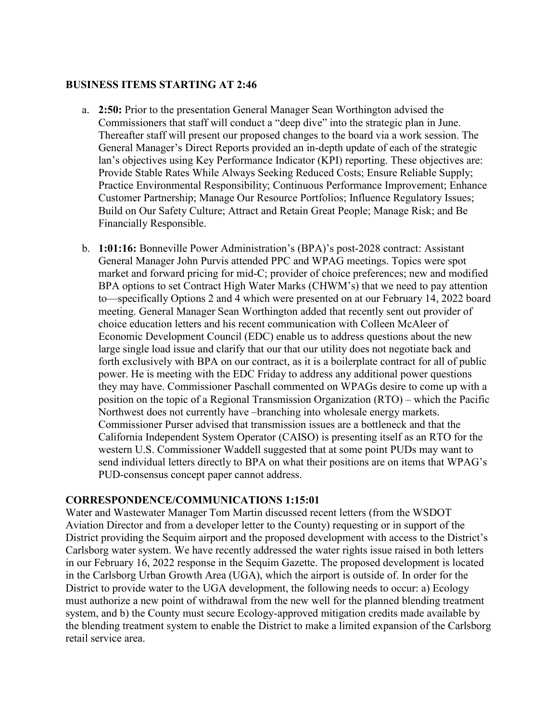#### **BUSINESS ITEMS STARTING AT 2:46**

- a. **2:50:** Prior to the presentation General Manager Sean Worthington advised the Commissioners that staff will conduct a "deep dive" into the strategic plan in June. Thereafter staff will present our proposed changes to the board via a work session. The General Manager's Direct Reports provided an in-depth update of each of the strategic lan's objectives using Key Performance Indicator (KPI) reporting. These objectives are: Provide Stable Rates While Always Seeking Reduced Costs; Ensure Reliable Supply; Practice Environmental Responsibility; Continuous Performance Improvement; Enhance Customer Partnership; Manage Our Resource Portfolios; Influence Regulatory Issues; Build on Our Safety Culture; Attract and Retain Great People; Manage Risk; and Be Financially Responsible.
- b. **1:01:16:** Bonneville Power Administration's (BPA)'s post-2028 contract: Assistant General Manager John Purvis attended PPC and WPAG meetings. Topics were spot market and forward pricing for mid-C; provider of choice preferences; new and modified BPA options to set Contract High Water Marks (CHWM's) that we need to pay attention to—specifically Options 2 and 4 which were presented on at our February 14, 2022 board meeting. General Manager Sean Worthington added that recently sent out provider of choice education letters and his recent communication with Colleen McAleer of Economic Development Council (EDC) enable us to address questions about the new large single load issue and clarify that our that our utility does not negotiate back and forth exclusively with BPA on our contract, as it is a boilerplate contract for all of public power. He is meeting with the EDC Friday to address any additional power questions they may have. Commissioner Paschall commented on WPAGs desire to come up with a position on the topic of a Regional Transmission Organization (RTO) – which the Pacific Northwest does not currently have –branching into wholesale energy markets. Commissioner Purser advised that transmission issues are a bottleneck and that the California Independent System Operator (CAISO) is presenting itself as an RTO for the western U.S. Commissioner Waddell suggested that at some point PUDs may want to send individual letters directly to BPA on what their positions are on items that WPAG's PUD-consensus concept paper cannot address.

#### **CORRESPONDENCE/COMMUNICATIONS 1:15:01**

Water and Wastewater Manager Tom Martin discussed recent letters (from the WSDOT Aviation Director and from a developer letter to the County) requesting or in support of the District providing the Sequim airport and the proposed development with access to the District's Carlsborg water system. We have recently addressed the water rights issue raised in both letters in our February 16, 2022 response in the Sequim Gazette. The proposed development is located in the Carlsborg Urban Growth Area (UGA), which the airport is outside of. In order for the District to provide water to the UGA development, the following needs to occur: a) Ecology must authorize a new point of withdrawal from the new well for the planned blending treatment system, and b) the County must secure Ecology-approved mitigation credits made available by the blending treatment system to enable the District to make a limited expansion of the Carlsborg retail service area.